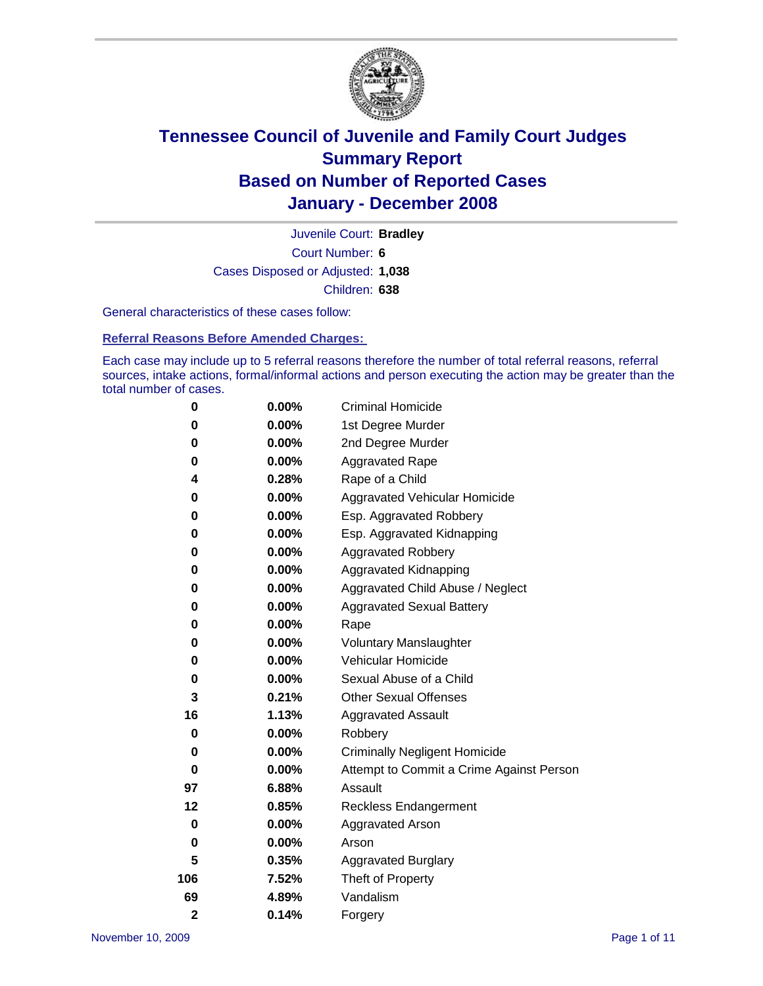

Court Number: **6** Juvenile Court: **Bradley** Cases Disposed or Adjusted: **1,038** Children: **638**

General characteristics of these cases follow:

**Referral Reasons Before Amended Charges:** 

Each case may include up to 5 referral reasons therefore the number of total referral reasons, referral sources, intake actions, formal/informal actions and person executing the action may be greater than the total number of cases.

| 0           | $0.00\%$ | <b>Criminal Homicide</b>                 |
|-------------|----------|------------------------------------------|
| 0           | 0.00%    | 1st Degree Murder                        |
| 0           | $0.00\%$ | 2nd Degree Murder                        |
| 0           | 0.00%    | <b>Aggravated Rape</b>                   |
| 4           | 0.28%    | Rape of a Child                          |
| 0           | 0.00%    | <b>Aggravated Vehicular Homicide</b>     |
| 0           | 0.00%    | Esp. Aggravated Robbery                  |
| 0           | 0.00%    | Esp. Aggravated Kidnapping               |
| 0           | 0.00%    | <b>Aggravated Robbery</b>                |
| 0           | 0.00%    | Aggravated Kidnapping                    |
| 0           | 0.00%    | Aggravated Child Abuse / Neglect         |
| 0           | 0.00%    | <b>Aggravated Sexual Battery</b>         |
| 0           | 0.00%    | Rape                                     |
| 0           | 0.00%    | <b>Voluntary Manslaughter</b>            |
| 0           | 0.00%    | Vehicular Homicide                       |
| 0           | $0.00\%$ | Sexual Abuse of a Child                  |
| 3           | 0.21%    | <b>Other Sexual Offenses</b>             |
| 16          | 1.13%    | <b>Aggravated Assault</b>                |
| 0           | 0.00%    | Robbery                                  |
| 0           | $0.00\%$ | <b>Criminally Negligent Homicide</b>     |
| 0           | 0.00%    | Attempt to Commit a Crime Against Person |
| 97          | 6.88%    | Assault                                  |
| 12          | 0.85%    | <b>Reckless Endangerment</b>             |
| 0           | $0.00\%$ | <b>Aggravated Arson</b>                  |
| 0           | 0.00%    | Arson                                    |
| 5           | 0.35%    | <b>Aggravated Burglary</b>               |
| 106         | 7.52%    | Theft of Property                        |
| 69          | 4.89%    | Vandalism                                |
| $\mathbf 2$ | 0.14%    | Forgery                                  |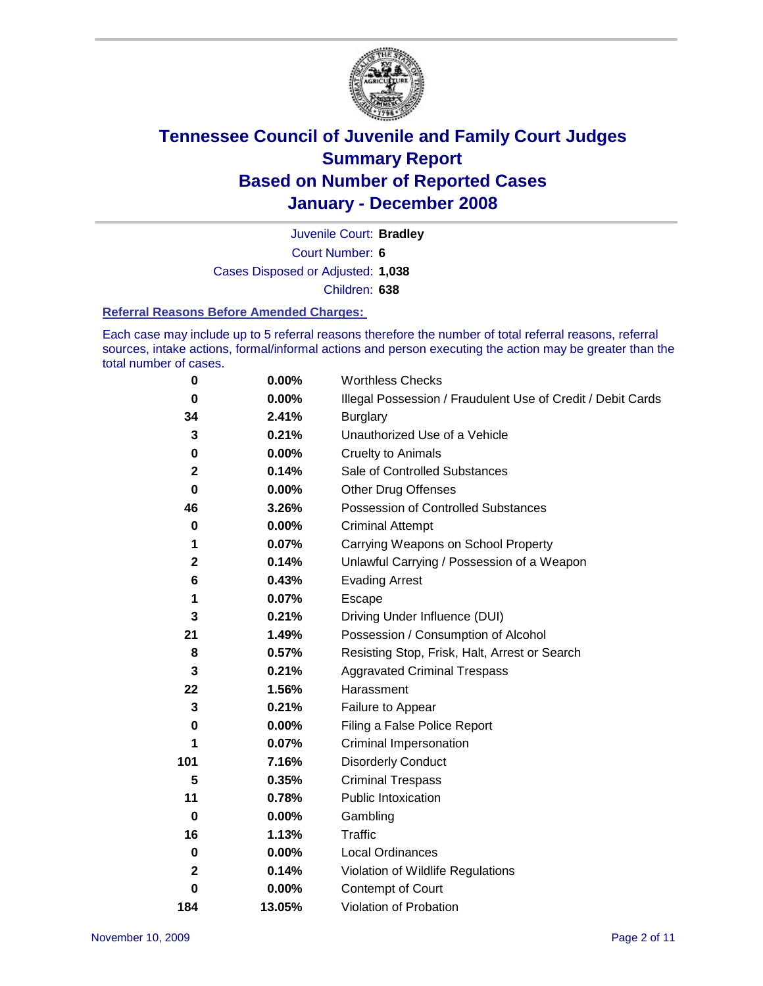

Court Number: **6** Juvenile Court: **Bradley** Cases Disposed or Adjusted: **1,038** Children: **638**

#### **Referral Reasons Before Amended Charges:**

Each case may include up to 5 referral reasons therefore the number of total referral reasons, referral sources, intake actions, formal/informal actions and person executing the action may be greater than the total number of cases.

| $\pmb{0}$    | 0.00%    | <b>Worthless Checks</b>                                     |
|--------------|----------|-------------------------------------------------------------|
| $\bf{0}$     | 0.00%    | Illegal Possession / Fraudulent Use of Credit / Debit Cards |
| 34           | 2.41%    | <b>Burglary</b>                                             |
| 3            | 0.21%    | Unauthorized Use of a Vehicle                               |
| $\pmb{0}$    | 0.00%    | <b>Cruelty to Animals</b>                                   |
| $\mathbf 2$  | 0.14%    | Sale of Controlled Substances                               |
| $\mathbf 0$  | 0.00%    | <b>Other Drug Offenses</b>                                  |
| 46           | 3.26%    | <b>Possession of Controlled Substances</b>                  |
| 0            | 0.00%    | <b>Criminal Attempt</b>                                     |
| 1            | 0.07%    | Carrying Weapons on School Property                         |
| $\mathbf 2$  | 0.14%    | Unlawful Carrying / Possession of a Weapon                  |
| 6            | 0.43%    | <b>Evading Arrest</b>                                       |
| 1            | 0.07%    | Escape                                                      |
| 3            | 0.21%    | Driving Under Influence (DUI)                               |
| 21           | 1.49%    | Possession / Consumption of Alcohol                         |
| 8            | 0.57%    | Resisting Stop, Frisk, Halt, Arrest or Search               |
| 3            | 0.21%    | <b>Aggravated Criminal Trespass</b>                         |
| 22           | 1.56%    | Harassment                                                  |
| 3            | 0.21%    | Failure to Appear                                           |
| 0            | $0.00\%$ | Filing a False Police Report                                |
| 1            | 0.07%    | Criminal Impersonation                                      |
| 101          | 7.16%    | <b>Disorderly Conduct</b>                                   |
| 5            | 0.35%    | <b>Criminal Trespass</b>                                    |
| 11           | 0.78%    | <b>Public Intoxication</b>                                  |
| $\bf{0}$     | $0.00\%$ | Gambling                                                    |
| 16           | 1.13%    | Traffic                                                     |
| 0            | $0.00\%$ | Local Ordinances                                            |
| $\mathbf{2}$ | 0.14%    | Violation of Wildlife Regulations                           |
| 0            | $0.00\%$ | Contempt of Court                                           |
| 184          | 13.05%   | Violation of Probation                                      |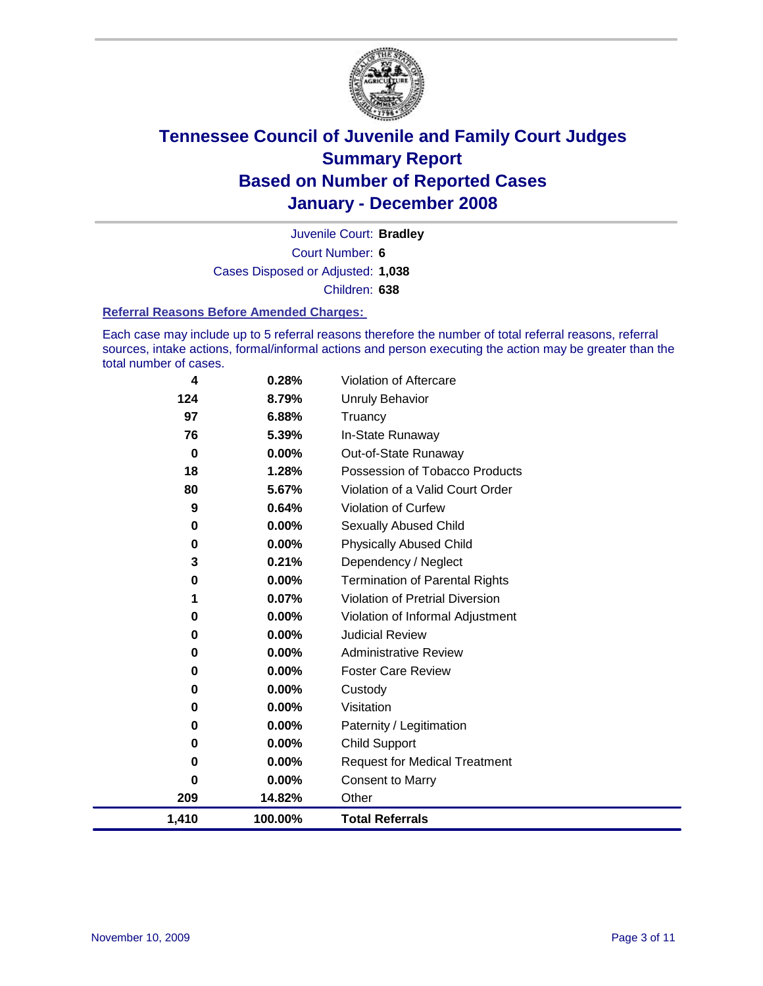

Court Number: **6** Juvenile Court: **Bradley** Cases Disposed or Adjusted: **1,038** Children: **638**

#### **Referral Reasons Before Amended Charges:**

Each case may include up to 5 referral reasons therefore the number of total referral reasons, referral sources, intake actions, formal/informal actions and person executing the action may be greater than the total number of cases.

| 4        | 0.28%   | Violation of Aftercare                 |
|----------|---------|----------------------------------------|
| 124      | 8.79%   | <b>Unruly Behavior</b>                 |
| 97       | 6.88%   | Truancy                                |
| 76       | 5.39%   | In-State Runaway                       |
| $\bf{0}$ | 0.00%   | Out-of-State Runaway                   |
| 18       | 1.28%   | Possession of Tobacco Products         |
| 80       | 5.67%   | Violation of a Valid Court Order       |
| 9        | 0.64%   | <b>Violation of Curfew</b>             |
| 0        | 0.00%   | <b>Sexually Abused Child</b>           |
| 0        | 0.00%   | <b>Physically Abused Child</b>         |
| 3        | 0.21%   | Dependency / Neglect                   |
| $\bf{0}$ | 0.00%   | <b>Termination of Parental Rights</b>  |
| 1        | 0.07%   | <b>Violation of Pretrial Diversion</b> |
| 0        | 0.00%   | Violation of Informal Adjustment       |
| 0        | 0.00%   | <b>Judicial Review</b>                 |
| 0        | 0.00%   | <b>Administrative Review</b>           |
| 0        | 0.00%   | <b>Foster Care Review</b>              |
| 0        | 0.00%   | Custody                                |
| 0        | 0.00%   | Visitation                             |
| 0        | 0.00%   | Paternity / Legitimation               |
| 0        | 0.00%   | Child Support                          |
| 0        | 0.00%   | <b>Request for Medical Treatment</b>   |
| 0        | 0.00%   | <b>Consent to Marry</b>                |
| 209      | 14.82%  | Other                                  |
| 1,410    | 100.00% | <b>Total Referrals</b>                 |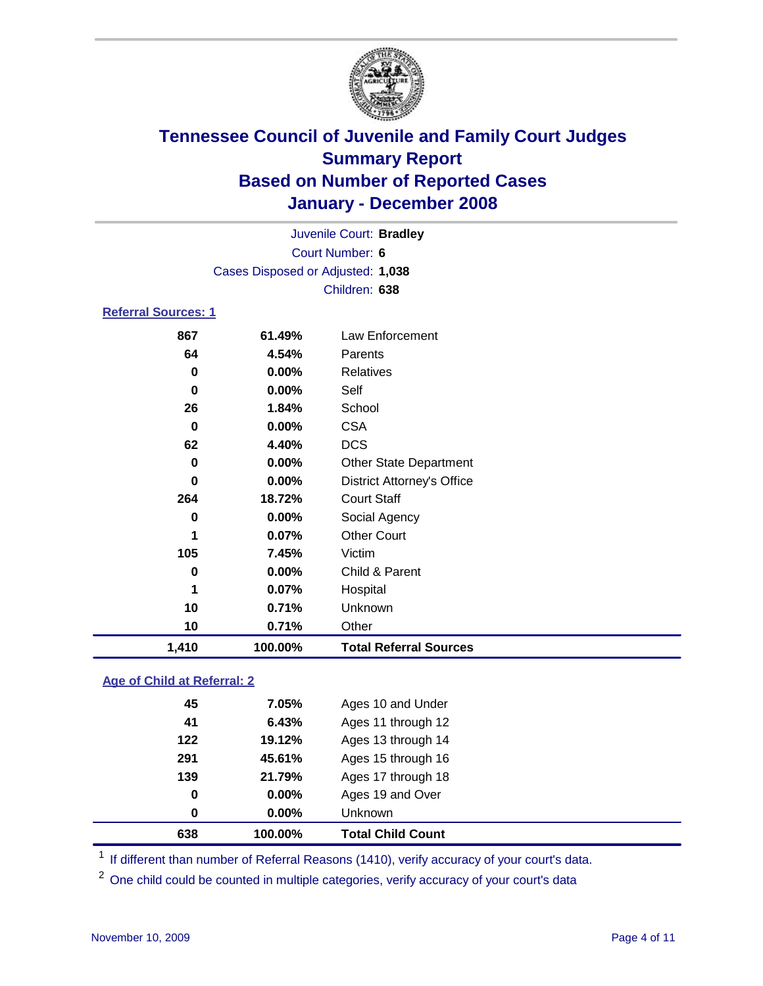

Court Number: **6** Juvenile Court: **Bradley** Cases Disposed or Adjusted: **1,038** Children: **638**

### **Referral Sources: 1**

| 867      | 61.49%  | Law Enforcement                   |
|----------|---------|-----------------------------------|
| 64       | 4.54%   | Parents                           |
| 0        | 0.00%   | Relatives                         |
| 0        | 0.00%   | Self                              |
| 26       | 1.84%   | School                            |
| $\bf{0}$ | 0.00%   | <b>CSA</b>                        |
| 62       | 4.40%   | <b>DCS</b>                        |
| 0        | 0.00%   | <b>Other State Department</b>     |
| 0        | 0.00%   | <b>District Attorney's Office</b> |
| 264      | 18.72%  | <b>Court Staff</b>                |
| 0        | 0.00%   | Social Agency                     |
| 1        | 0.07%   | <b>Other Court</b>                |
| 105      | 7.45%   | Victim                            |
| 0        | 0.00%   | Child & Parent                    |
| 1        | 0.07%   | Hospital                          |
| 10       | 0.71%   | Unknown                           |
| 10       | 0.71%   | Other                             |
| 1,410    | 100.00% | <b>Total Referral Sources</b>     |

### **Age of Child at Referral: 2**

| 638 | 100.00% | <b>Total Child Count</b> |  |
|-----|---------|--------------------------|--|
| 0   | 0.00%   | <b>Unknown</b>           |  |
| 0   | 0.00%   | Ages 19 and Over         |  |
| 139 | 21.79%  | Ages 17 through 18       |  |
| 291 | 45.61%  | Ages 15 through 16       |  |
| 122 | 19.12%  | Ages 13 through 14       |  |
| 41  | 6.43%   | Ages 11 through 12       |  |
| 45  | 7.05%   | Ages 10 and Under        |  |
|     |         |                          |  |

<sup>1</sup> If different than number of Referral Reasons (1410), verify accuracy of your court's data.

<sup>2</sup> One child could be counted in multiple categories, verify accuracy of your court's data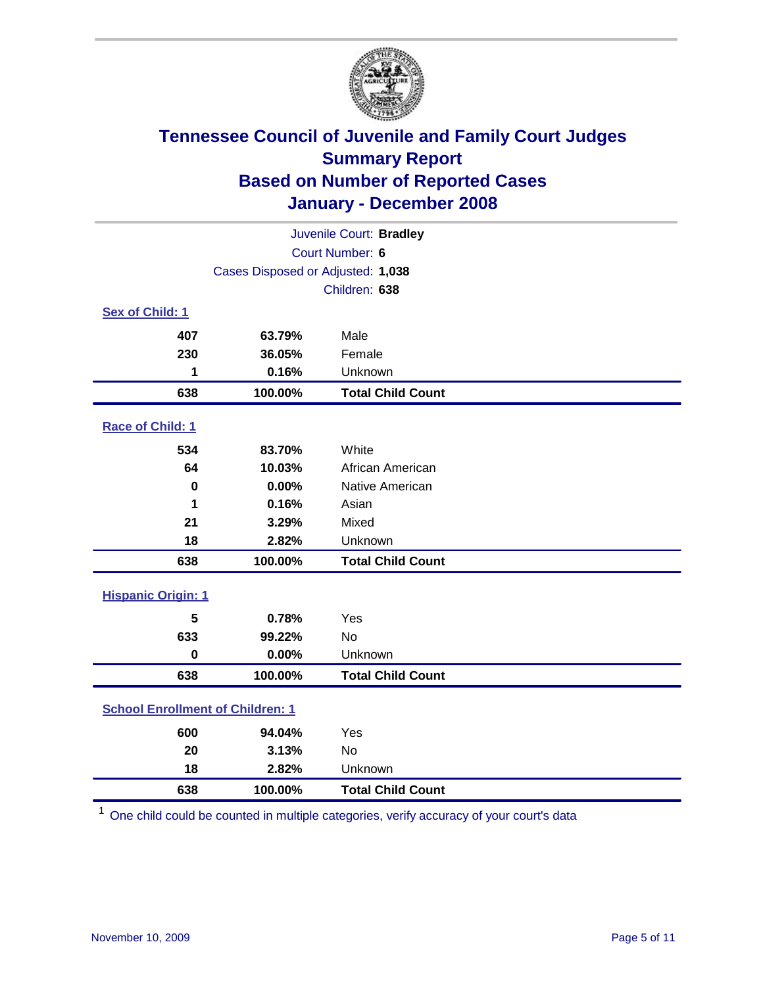

| Juvenile Court: Bradley                 |                                   |                          |  |  |
|-----------------------------------------|-----------------------------------|--------------------------|--|--|
| Court Number: 6                         |                                   |                          |  |  |
|                                         | Cases Disposed or Adjusted: 1,038 |                          |  |  |
|                                         | Children: 638                     |                          |  |  |
| Sex of Child: 1                         |                                   |                          |  |  |
| 407                                     | 63.79%                            | Male                     |  |  |
| 230                                     | 36.05%                            | Female                   |  |  |
| 1                                       | 0.16%                             | Unknown                  |  |  |
| 638                                     | 100.00%                           | <b>Total Child Count</b> |  |  |
| Race of Child: 1                        |                                   |                          |  |  |
| 534                                     | 83.70%                            | White                    |  |  |
| 64                                      | 10.03%                            | African American         |  |  |
| $\bf{0}$                                | 0.00%                             | Native American          |  |  |
| 1                                       | 0.16%                             | Asian                    |  |  |
| 21                                      | 3.29%                             | Mixed                    |  |  |
| 18                                      | 2.82%                             | Unknown                  |  |  |
| 638                                     | 100.00%                           | <b>Total Child Count</b> |  |  |
| <b>Hispanic Origin: 1</b>               |                                   |                          |  |  |
| 5                                       | 0.78%                             | Yes                      |  |  |
| 633                                     | 99.22%                            | <b>No</b>                |  |  |
| $\mathbf 0$                             | 0.00%                             | Unknown                  |  |  |
| 638                                     | 100.00%                           | <b>Total Child Count</b> |  |  |
| <b>School Enrollment of Children: 1</b> |                                   |                          |  |  |
| 600                                     | 94.04%                            | Yes                      |  |  |
| 20                                      | 3.13%                             | <b>No</b>                |  |  |
| 18                                      | 2.82%                             | Unknown                  |  |  |
| 638                                     | 100.00%                           | <b>Total Child Count</b> |  |  |

One child could be counted in multiple categories, verify accuracy of your court's data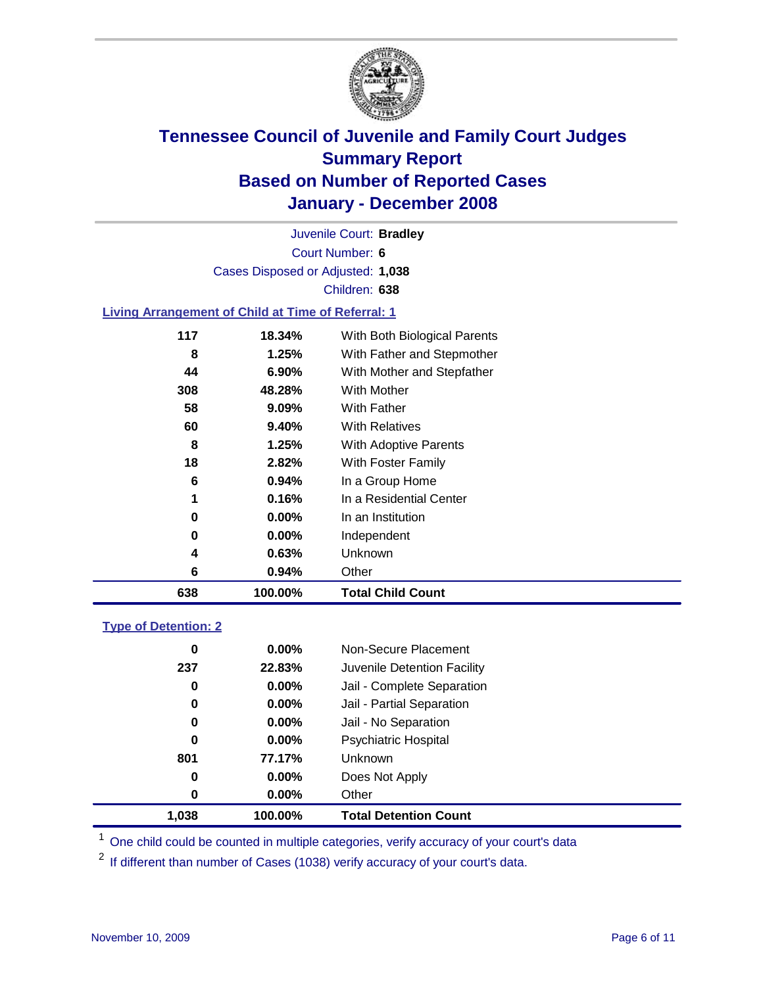

Court Number: **6** Juvenile Court: **Bradley** Cases Disposed or Adjusted: **1,038** Children: **638**

#### **Living Arrangement of Child at Time of Referral: 1**

| 638 | 100.00%  | <b>Total Child Count</b>     |
|-----|----------|------------------------------|
| 6   | 0.94%    | Other                        |
| 4   | 0.63%    | Unknown                      |
| 0   | $0.00\%$ | Independent                  |
| 0   | $0.00\%$ | In an Institution            |
| 1   | 0.16%    | In a Residential Center      |
| 6   | 0.94%    | In a Group Home              |
| 18  | 2.82%    | With Foster Family           |
| 8   | 1.25%    | With Adoptive Parents        |
| 60  | $9.40\%$ | <b>With Relatives</b>        |
| 58  | 9.09%    | <b>With Father</b>           |
| 308 | 48.28%   | With Mother                  |
| 44  | 6.90%    | With Mother and Stepfather   |
| 8   | 1.25%    | With Father and Stepmother   |
| 117 | 18.34%   | With Both Biological Parents |
|     |          |                              |

#### **Type of Detention: 2**

| 1.038 | 100.00%  | <b>Total Detention Count</b> |  |
|-------|----------|------------------------------|--|
| 0     | 0.00%    | Other                        |  |
| 0     | 0.00%    | Does Not Apply               |  |
| 801   | 77.17%   | <b>Unknown</b>               |  |
| 0     | $0.00\%$ | <b>Psychiatric Hospital</b>  |  |
| 0     | $0.00\%$ | Jail - No Separation         |  |
| 0     | $0.00\%$ | Jail - Partial Separation    |  |
| 0     | 0.00%    | Jail - Complete Separation   |  |
| 237   | 22.83%   | Juvenile Detention Facility  |  |
| 0     | $0.00\%$ | Non-Secure Placement         |  |
|       |          |                              |  |

<sup>1</sup> One child could be counted in multiple categories, verify accuracy of your court's data

<sup>2</sup> If different than number of Cases (1038) verify accuracy of your court's data.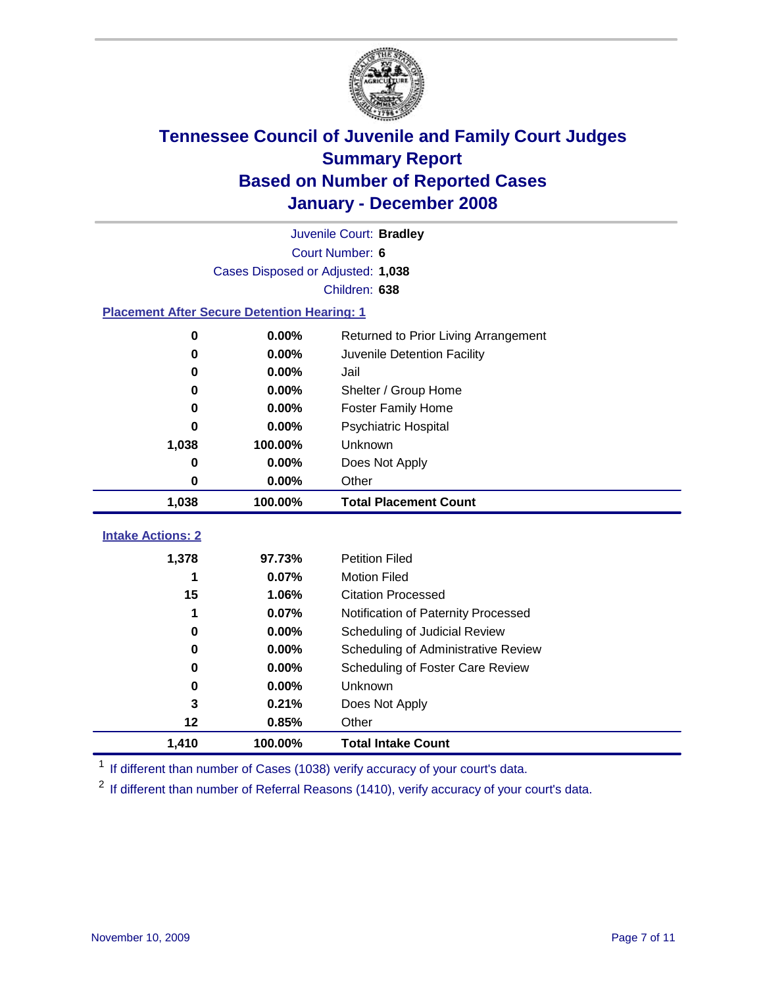

|                                                    | Juvenile Court: Bradley           |                                      |  |  |  |
|----------------------------------------------------|-----------------------------------|--------------------------------------|--|--|--|
|                                                    | Court Number: 6                   |                                      |  |  |  |
|                                                    | Cases Disposed or Adjusted: 1,038 |                                      |  |  |  |
|                                                    |                                   | Children: 638                        |  |  |  |
| <b>Placement After Secure Detention Hearing: 1</b> |                                   |                                      |  |  |  |
| 0                                                  | 0.00%                             | Returned to Prior Living Arrangement |  |  |  |
| $\bf{0}$                                           | 0.00%                             | Juvenile Detention Facility          |  |  |  |
| $\bf{0}$                                           | 0.00%                             | Jail                                 |  |  |  |
| $\bf{0}$                                           | 0.00%                             | Shelter / Group Home                 |  |  |  |
| 0                                                  | 0.00%                             | <b>Foster Family Home</b>            |  |  |  |
| $\bf{0}$                                           | 0.00%                             | Psychiatric Hospital                 |  |  |  |
| 1,038                                              | 100.00%                           | Unknown                              |  |  |  |
| 0                                                  | 0.00%                             | Does Not Apply                       |  |  |  |
| $\bf{0}$                                           | 0.00%                             | Other                                |  |  |  |
| 1,038                                              | 100.00%                           | <b>Total Placement Count</b>         |  |  |  |
|                                                    |                                   |                                      |  |  |  |
| <b>Intake Actions: 2</b>                           |                                   |                                      |  |  |  |
| 1,378                                              | 97.73%                            | <b>Petition Filed</b>                |  |  |  |
| 1                                                  | 0.07%                             | <b>Motion Filed</b>                  |  |  |  |
| 15                                                 | 1.06%                             | <b>Citation Processed</b>            |  |  |  |
| 1                                                  | 0.07%                             | Notification of Paternity Processed  |  |  |  |
| $\bf{0}$                                           | 0.00%                             | Scheduling of Judicial Review        |  |  |  |
| $\bf{0}$                                           | 0.00%                             | Scheduling of Administrative Review  |  |  |  |
| 0                                                  | 0.00%                             | Scheduling of Foster Care Review     |  |  |  |
| 0                                                  | 0.00%                             | Unknown                              |  |  |  |
| 3                                                  | 0.21%                             | Does Not Apply                       |  |  |  |
| 12                                                 | 0.85%                             | Other                                |  |  |  |
| 1,410                                              | 100.00%                           | <b>Total Intake Count</b>            |  |  |  |

<sup>1</sup> If different than number of Cases (1038) verify accuracy of your court's data.

<sup>2</sup> If different than number of Referral Reasons (1410), verify accuracy of your court's data.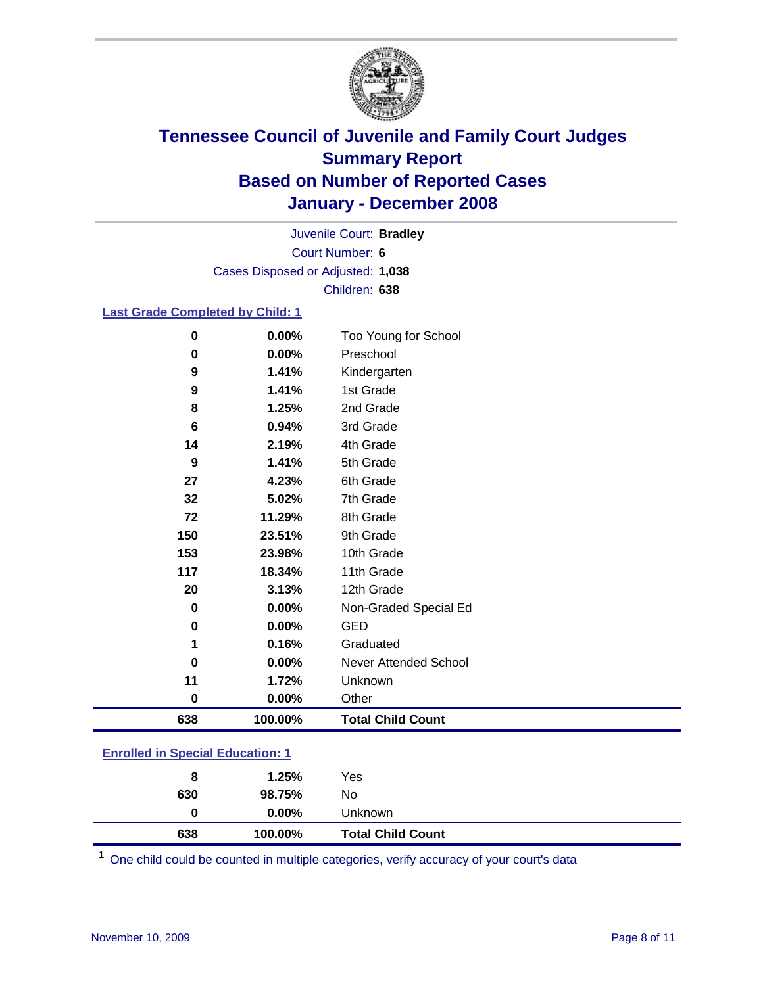

Court Number: **6** Juvenile Court: **Bradley** Cases Disposed or Adjusted: **1,038** Children: **638**

### **Last Grade Completed by Child: 1**

| 0        | 0.00%   | Too Young for School     |
|----------|---------|--------------------------|
| $\bf{0}$ | 0.00%   | Preschool                |
| 9        | 1.41%   | Kindergarten             |
| 9        | 1.41%   | 1st Grade                |
| 8        | 1.25%   | 2nd Grade                |
| 6        | 0.94%   | 3rd Grade                |
| 14       | 2.19%   | 4th Grade                |
| 9        | 1.41%   | 5th Grade                |
| 27       | 4.23%   | 6th Grade                |
| 32       | 5.02%   | 7th Grade                |
| 72       | 11.29%  | 8th Grade                |
| 150      | 23.51%  | 9th Grade                |
| 153      | 23.98%  | 10th Grade               |
| 117      | 18.34%  | 11th Grade               |
| 20       | 3.13%   | 12th Grade               |
| $\bf{0}$ | 0.00%   | Non-Graded Special Ed    |
| $\bf{0}$ | 0.00%   | <b>GED</b>               |
| 1        | 0.16%   | Graduated                |
| 0        | 0.00%   | Never Attended School    |
| 11       | 1.72%   | Unknown                  |
| $\bf{0}$ | 0.00%   | Other                    |
| 638      | 100.00% | <b>Total Child Count</b> |

### **Enrolled in Special Education: 1**

| $0.00\%$<br>Unknown<br>0 |  |
|--------------------------|--|
| 630<br>98.75%<br>No      |  |
| 1.25%<br>Yes<br>8        |  |

<sup>1</sup> One child could be counted in multiple categories, verify accuracy of your court's data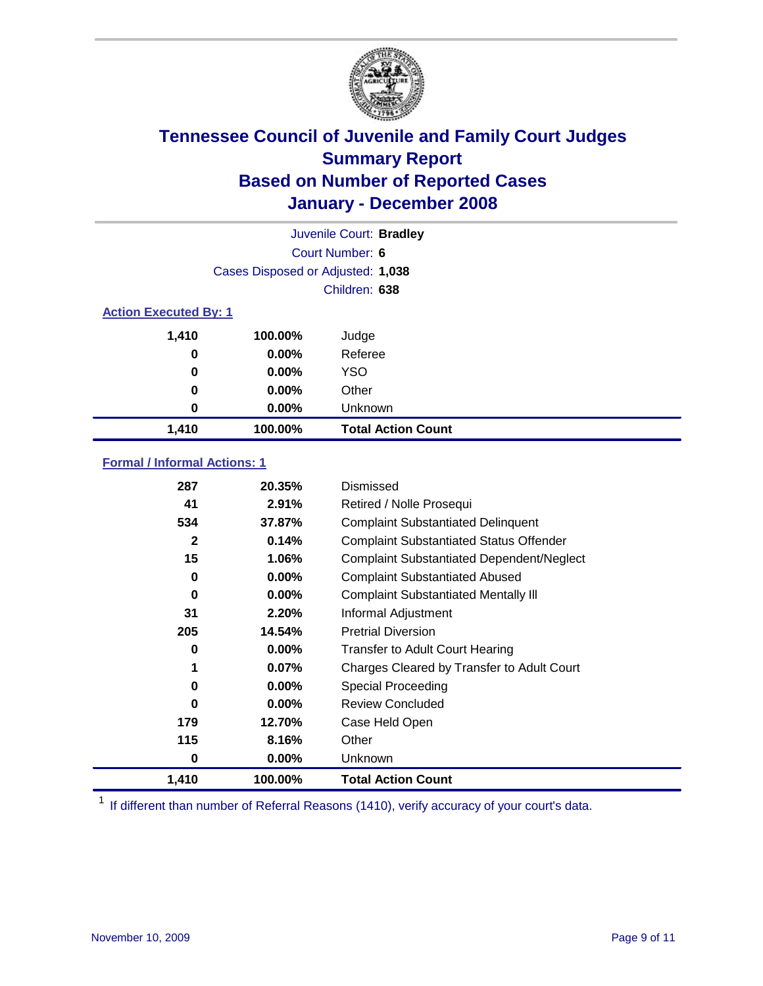

| Juvenile Court: Bradley      |                                   |                           |  |  |  |
|------------------------------|-----------------------------------|---------------------------|--|--|--|
|                              | Court Number: 6                   |                           |  |  |  |
|                              | Cases Disposed or Adjusted: 1,038 |                           |  |  |  |
|                              | Children: 638                     |                           |  |  |  |
| <b>Action Executed By: 1</b> |                                   |                           |  |  |  |
| 1,410                        | 100.00%                           | Judge                     |  |  |  |
| 0                            | $0.00\%$                          | Referee                   |  |  |  |
| 0                            | $0.00\%$                          | <b>YSO</b>                |  |  |  |
| 0                            | $0.00\%$                          | Other                     |  |  |  |
| 0                            | $0.00\%$                          | Unknown                   |  |  |  |
| 1,410                        | 100.00%                           | <b>Total Action Count</b> |  |  |  |

### **Formal / Informal Actions: 1**

| 287      | 20.35%   | Dismissed                                        |
|----------|----------|--------------------------------------------------|
| 41       | 2.91%    | Retired / Nolle Prosequi                         |
| 534      | 37.87%   | <b>Complaint Substantiated Delinquent</b>        |
| 2        | 0.14%    | <b>Complaint Substantiated Status Offender</b>   |
| 15       | 1.06%    | <b>Complaint Substantiated Dependent/Neglect</b> |
| 0        | $0.00\%$ | <b>Complaint Substantiated Abused</b>            |
| 0        | 0.00%    | <b>Complaint Substantiated Mentally III</b>      |
| 31       | 2.20%    | Informal Adjustment                              |
| 205      | 14.54%   | <b>Pretrial Diversion</b>                        |
| 0        | $0.00\%$ | <b>Transfer to Adult Court Hearing</b>           |
| 1        | 0.07%    | Charges Cleared by Transfer to Adult Court       |
| $\bf{0}$ | $0.00\%$ | Special Proceeding                               |
| 0        | $0.00\%$ | <b>Review Concluded</b>                          |
| 179      | 12.70%   | Case Held Open                                   |
| 115      | 8.16%    | Other                                            |
| 0        | 0.00%    | <b>Unknown</b>                                   |
| 1,410    | 100.00%  | <b>Total Action Count</b>                        |

<sup>1</sup> If different than number of Referral Reasons (1410), verify accuracy of your court's data.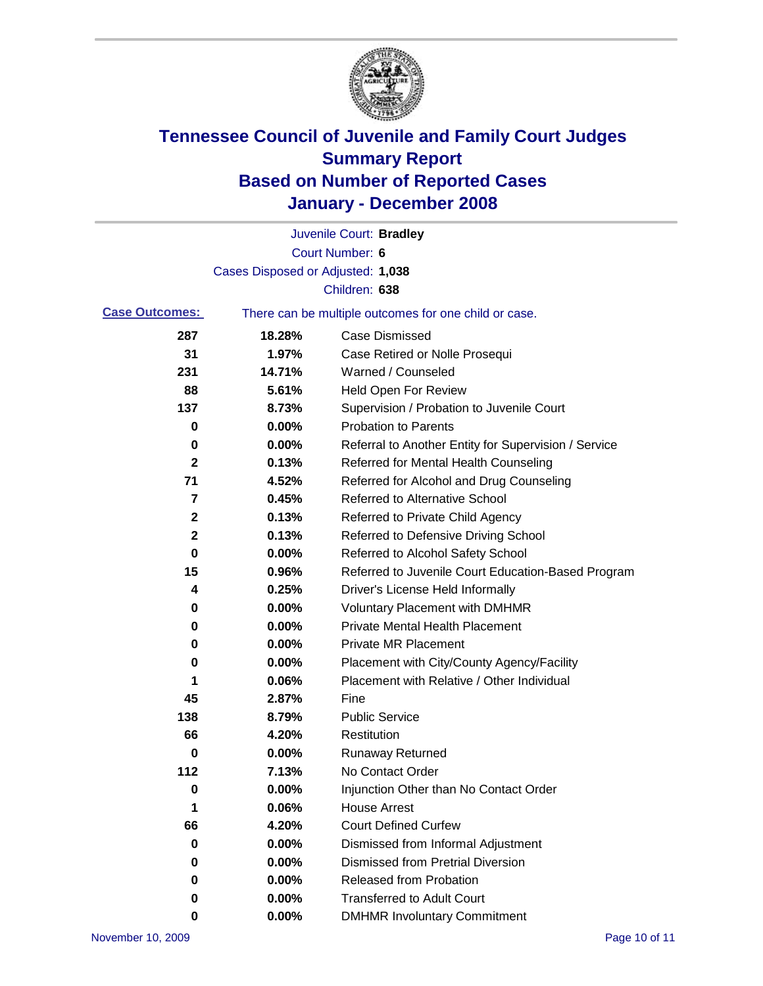

|                       |                                   | Juvenile Court: Bradley                               |
|-----------------------|-----------------------------------|-------------------------------------------------------|
|                       |                                   | Court Number: 6                                       |
|                       | Cases Disposed or Adjusted: 1,038 |                                                       |
|                       |                                   | Children: 638                                         |
| <b>Case Outcomes:</b> |                                   | There can be multiple outcomes for one child or case. |
| 287                   | 18.28%                            | <b>Case Dismissed</b>                                 |
| 31                    | 1.97%                             | Case Retired or Nolle Prosequi                        |
| 231                   | 14.71%                            | Warned / Counseled                                    |
| 88                    | 5.61%                             | <b>Held Open For Review</b>                           |
| 137                   | 8.73%                             | Supervision / Probation to Juvenile Court             |
| 0                     | 0.00%                             | <b>Probation to Parents</b>                           |
| 0                     | 0.00%                             | Referral to Another Entity for Supervision / Service  |
| 2                     | 0.13%                             | Referred for Mental Health Counseling                 |
| 71                    | 4.52%                             | Referred for Alcohol and Drug Counseling              |
| 7                     | 0.45%                             | <b>Referred to Alternative School</b>                 |
| 2                     | 0.13%                             | Referred to Private Child Agency                      |
| 2                     | 0.13%                             | Referred to Defensive Driving School                  |
| 0                     | 0.00%                             | Referred to Alcohol Safety School                     |
| 15                    | 0.96%                             | Referred to Juvenile Court Education-Based Program    |
| 4                     | 0.25%                             | Driver's License Held Informally                      |
| 0                     | 0.00%                             | <b>Voluntary Placement with DMHMR</b>                 |
| 0                     | 0.00%                             | <b>Private Mental Health Placement</b>                |
| 0                     | 0.00%                             | <b>Private MR Placement</b>                           |
| 0                     | 0.00%                             | Placement with City/County Agency/Facility            |
| 1                     | 0.06%                             | Placement with Relative / Other Individual            |
| 45                    | 2.87%                             | Fine                                                  |
| 138                   | 8.79%                             | <b>Public Service</b>                                 |
| 66                    | 4.20%                             | Restitution                                           |
| 0                     | 0.00%                             | <b>Runaway Returned</b>                               |
| 112                   | 7.13%                             | No Contact Order                                      |
| 0                     | $0.00\%$                          | Injunction Other than No Contact Order                |
| 1                     | 0.06%                             | <b>House Arrest</b>                                   |
| 66                    | 4.20%                             | <b>Court Defined Curfew</b>                           |
| 0                     | 0.00%                             | Dismissed from Informal Adjustment                    |
| 0                     | 0.00%                             | <b>Dismissed from Pretrial Diversion</b>              |
| 0                     | 0.00%                             | <b>Released from Probation</b>                        |
| 0                     | 0.00%                             | <b>Transferred to Adult Court</b>                     |
| 0                     | 0.00%                             | <b>DMHMR Involuntary Commitment</b>                   |